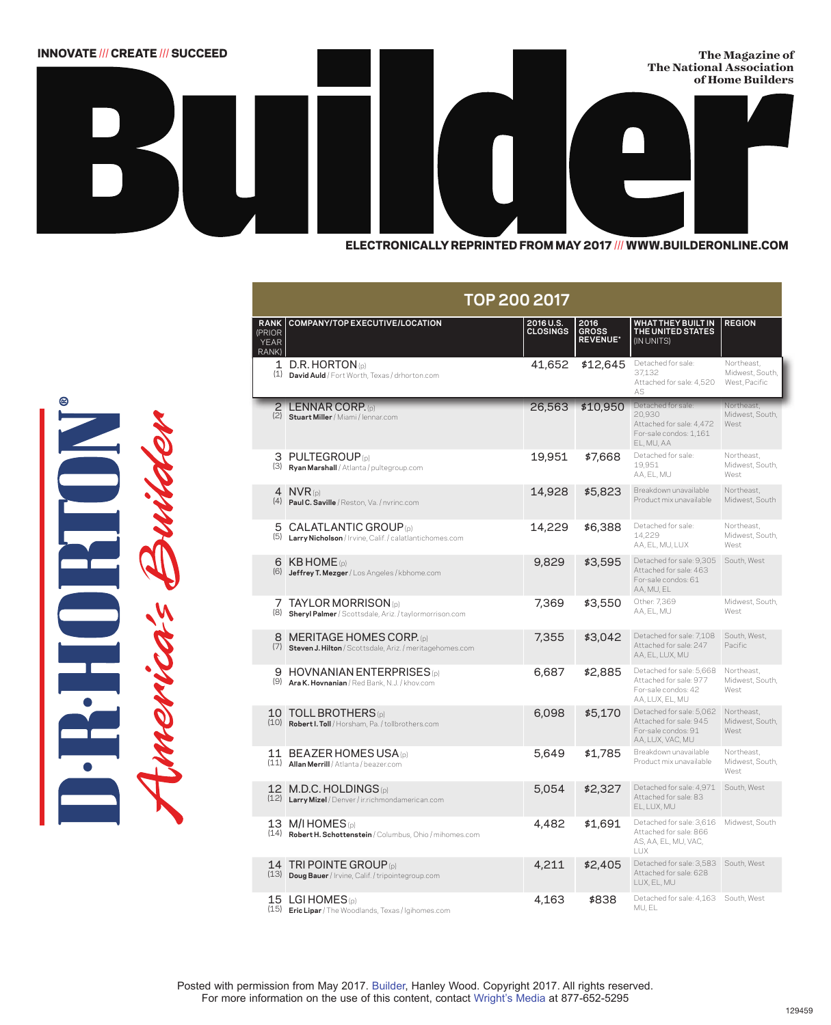

**TOP 200 2017 RANK** (PRIOR YEAR RANK) **COMPANY/TOP EXECUTIVE/LOCATION 2016 U.S. CLOSINGS 2016 GROSS REVENUE\* WHAT THEY BUILT IN THE UNITED STATES** (IN UNITS) **REGION** 1 D.R. HORTON (p) 1 D.R. HORTON (p) (1) **David Auld** / Fort Worth, Texas / drhorton.com (1) **David Auld** / Fort Worth, Texas / drhorton.com 41,652 \$12,645 Detached for sale: 37,132 37,132 Attached for sale: 4,520 Attached for sale: 4,520 AS AS Northeast, Northeast, Midwest, South, Midwest, South, West, Pacific West, Pacific2 LENNAR CORP. (p) (2) **Stuart Miller** / Miami / lennar.com 26,563 \$10,950 Detached for s 20,930 Attached for sale: 4,472 For-sale condos: 1,161 EL, MU, AA Northeast, Midwest, South, West 3 PULTEGROUP (p) (3) **Ryan Marshall** / Atlanta / pultegroup.com 19,951 \$7,668 Detached for sale: 19,951 AA, EL, MU Northeast, Midwest, South, West 4 NVR (p) (4) **Paul C. Saville** / Reston, Va. / nvrinc.com 14,928 \$5,823 Breakdown unavailable Product mix unavailable Northeast, Midwest, South 5 CALATLANTIC GROUP (p) (5) **Larry Nicholson** / Irvine, Calif. / calatlantichomes.com 14,229 \$6,388 Detached for sale: 14,229 AA, EL, MU, LUX Northeast, Midwest, South, West 6 KB HOME (p) (6) **Jeffrey T. Mezger** / Los Angeles / kbhome.com 9,829 \$3,595 Detached for sale: 9,305 South, West Attached for sale: 463 For-sale condos: 61 AA, MU, EL 7 TAYLOR MORRISON (p) (8) **Sheryl Palmer** / Scottsdale, Ariz. / taylormorrison.com 7,369 \$3,550 Other: 7,369 AA, EL, MU Midwest, South, West 8 MERITAGE HOMES CORP. (p) (7) **Steven J. Hilton** / Scottsdale, Ariz. / meritagehomes.com 7,355 \$3,042 Detached for sale: 7,108 South, West, Attached for sale: 247 AA, EL, LUX, MU Pacific 9 HOVNANIAN ENTERPRISES (p) (9) **Ara K. Hovnanian** / Red Bank, N.J. / khov.com 6,687 \$2,885 Detached for sale: 5,668 Northeast, Attached for sale: 977 For-sale condos: 42 AA, LUX, EL, MU Midwest, South, West 10 TOLL BROTHERS (p) (10) **Robert I. Toll** / Horsham, Pa. / tollbrothers.com 6,098 \$5,170 Detached for sale: 5,062 Northeast, Attached for sale: 945 For-sale condos: 91 AA, LUX, VAC, MU Midwest, South, West 11 BEAZER HOMES USA (p) (11) **Allan Merrill** / Atlanta / beazer.com 5,649 \$1,785 Breakdown unavailable Product mix unavailable Northeast, Midwest, South, West 12 M.D.C. HOLDINGS (p) (12) **Larry Mizel** / Denver / ir.richmondamerican.com 5,054 \$2,327 Detached for sale: 4,971 South, West Attached for sale: 83 EL, LUX, MU 13 M/I HOMES (p) (14) **Robert H. Schottenstein** / Columbus, Ohio / mihomes.com 4,482 \$1,691 Detached for sale: 3,616 Midwest, South Attached for sale: 866 AS, AA, EL, MU, VAC, LUX 14 TRI POINTE GROUP (p) (13) **Doug Bauer** / Irvine, Calif. / tripointegroup.com 4,211 \$2,405 Detached for sale: 3,583 South, West Attached for sale: 628 LUX, EL, MU 15 (15) LGI HOMES (p) **Eric Lipar** / The Woodlands, Texas / lgihomes.com 4,163 \$838 Detached for sale: 4,163 South, West MU, EL